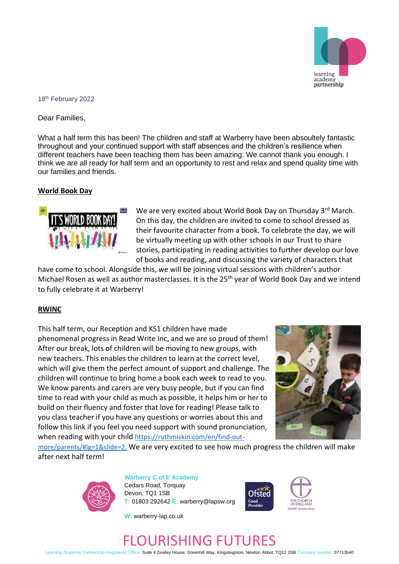

#### 18 th February 2022

Dear Families,

What a half term this has been! The children and staff at Warberry have been absoultely fantastic throughout and your continued support with staff absences and the children's resilience when different teachers have been teaching them has been amazing. We cannot thank you enough. I think we are all ready for half term and an opportunity to rest and relax and spend quality time with our families and friends.

## **World Book Day**



We are very excited about World Book Day on Thursday 3rd March. On this day, the children are invited to come to school dressed as their favourite character from a book. To celebrate the day, we will be virtually meeting up with other schools in our Trust to share stories, participating in reading activities to further develop our love of books and reading, and discussing the variety of characters that

have come to school. Alongside this, we will be joining virtual sessions with children's author Michael Rosen as well as author masterclasses. It is the 25<sup>th</sup> year of World Book Day and we intend to fully celebrate it at Warberry!

## **RWINC**

This half term, our Reception and KS1 children have made phenomenal progress in Read Write Inc, and we are so proud of them! After our break, lots of children will be moving to new groups, with new teachers. This enables the children to learn at the correct level, which will give them the perfect amount of support and challenge. The children will continue to bring home a book each week to read to you. We know parents and carers are very busy people, but if you can find time to read with your child as much as possible, it helps him or her to build on their fluency and foster that love for reading! Please talk to you class teacher if you have any questions or worries about this and follow this link if you feel you need support with sound pronunciation, when reading with your child [https://ruthmiskin.com/en/find-out-](https://ruthmiskin.com/en/find-out-more/parents/#lg=1&slide=2.)



[more/parents/#lg=1&slide=2.](https://ruthmiskin.com/en/find-out-more/parents/#lg=1&slide=2.) We are very excited to see how much progress the children will make after next half term!



**Warberry C of E Academy** Cedars Road, Torquay Devon, TQ1 1SB **T:** 01803 292642 **E:** warberry@lapsw.org



**W:** warberry-lap.co.uk

# FLOURISHING FUTURES

Learning Academy Partnership Registered Office: Suite 4 Zealley House, Greenhill Way, Kingsteignton, Newton Abbot, TQ12 3SB Company number: 07713540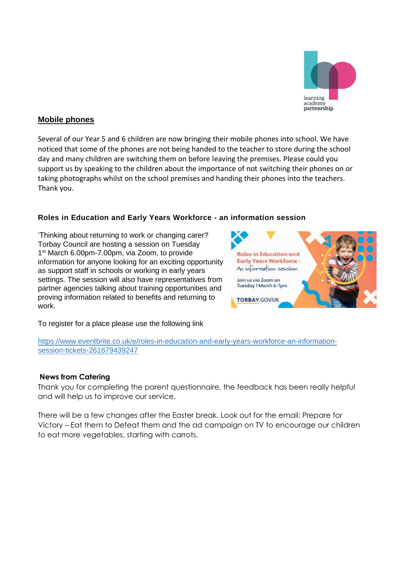

## **Mobile phones**

Several of our Year 5 and 6 children are now bringing their mobile phones into school. We have noticed that some of the phones are not being handed to the teacher to store during the school day and many children are switching them on before leaving the premises. Please could you support us by speaking to the children about the importance of not switching their phones on or taking photographs whilst on the school premises and handing their phones into the teachers. Thank you.

## **Roles in Education and Early Years Workforce - an information session**

'Thinking about returning to work or changing carer? Torbay Council are hosting a session on Tuesday 1<sup>st</sup> March 6.00pm-7.00pm, via Zoom, to provide information for anyone looking for an exciting opportunity as support staff in schools or working in early years settings. The session will also have representatives from partner agencies talking about training opportunities and proving information related to benefits and returning to work.



To register for a place please use the following link

[https://www.eventbrite.co.uk/e/roles-in-education-and-early-years-workforce-an-information](https://www.eventbrite.co.uk/e/roles-in-education-and-early-years-workforce-an-information-session-tickets-261679439247)[session-tickets-261679439247](https://www.eventbrite.co.uk/e/roles-in-education-and-early-years-workforce-an-information-session-tickets-261679439247)

## **News from Catering**

Thank you for completing the parent questionnaire, the feedback has been really helpful and will help us to improve our service.

There will be a few changes after the Easter break. Look out for the email: Prepare for Victory – Eat them to Defeat them and the ad campaign on TV to encourage our children to eat more vegetables, starting with carrots.